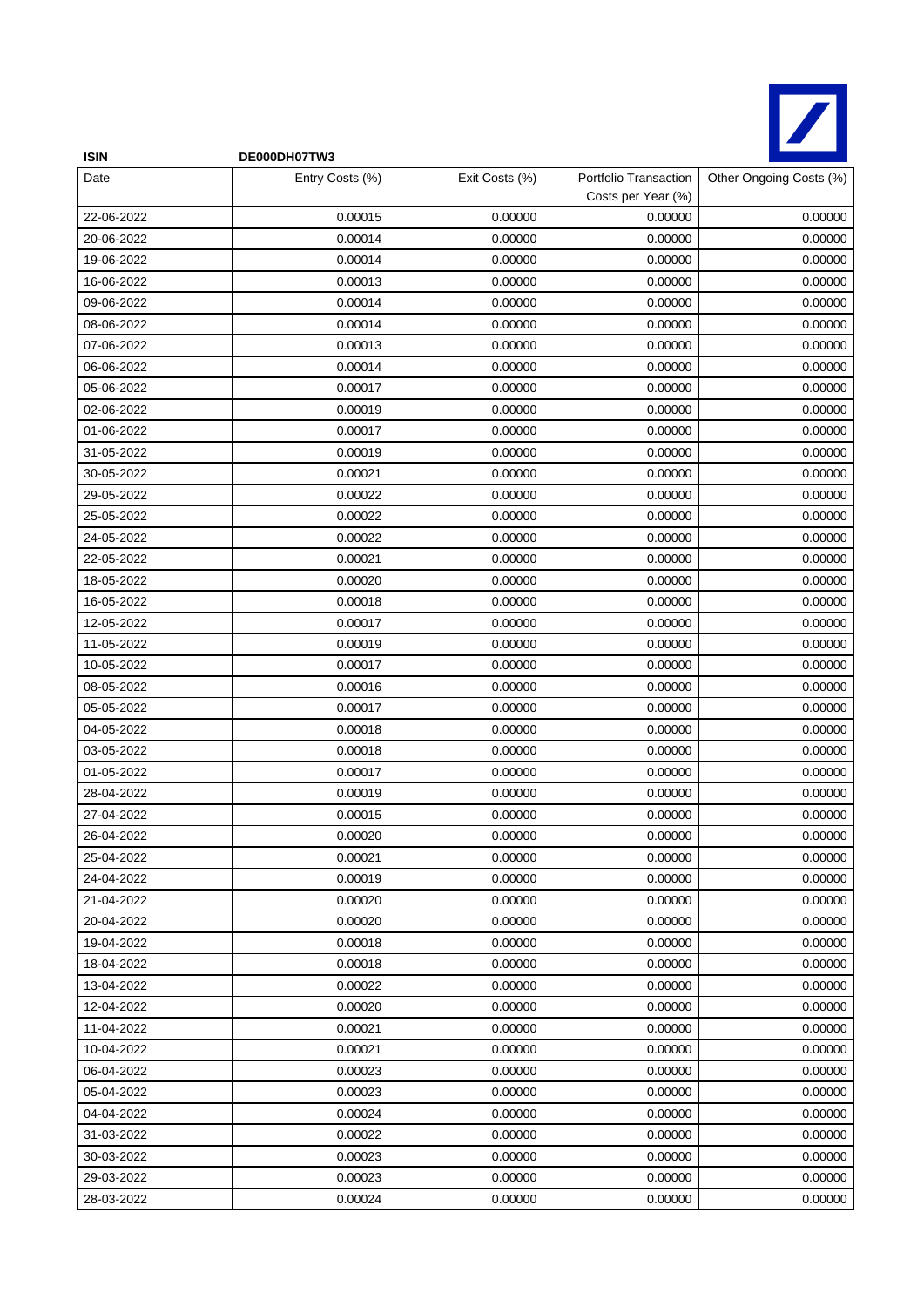

| <b>ISIN</b> | DE000DH07TW3    |                |                                             |                         |
|-------------|-----------------|----------------|---------------------------------------------|-------------------------|
| Date        | Entry Costs (%) | Exit Costs (%) | Portfolio Transaction<br>Costs per Year (%) | Other Ongoing Costs (%) |
| 22-06-2022  | 0.00015         | 0.00000        | 0.00000                                     | 0.00000                 |
| 20-06-2022  | 0.00014         | 0.00000        | 0.00000                                     | 0.00000                 |
| 19-06-2022  | 0.00014         | 0.00000        | 0.00000                                     | 0.00000                 |
| 16-06-2022  | 0.00013         | 0.00000        | 0.00000                                     | 0.00000                 |
| 09-06-2022  | 0.00014         | 0.00000        | 0.00000                                     | 0.00000                 |
| 08-06-2022  | 0.00014         | 0.00000        | 0.00000                                     | 0.00000                 |
| 07-06-2022  | 0.00013         | 0.00000        | 0.00000                                     | 0.00000                 |
| 06-06-2022  | 0.00014         | 0.00000        | 0.00000                                     | 0.00000                 |
| 05-06-2022  | 0.00017         | 0.00000        | 0.00000                                     | 0.00000                 |
| 02-06-2022  | 0.00019         | 0.00000        | 0.00000                                     | 0.00000                 |
| 01-06-2022  | 0.00017         | 0.00000        | 0.00000                                     | 0.00000                 |
| 31-05-2022  | 0.00019         | 0.00000        | 0.00000                                     | 0.00000                 |
| 30-05-2022  | 0.00021         | 0.00000        | 0.00000                                     | 0.00000                 |
| 29-05-2022  | 0.00022         | 0.00000        | 0.00000                                     | 0.00000                 |
| 25-05-2022  | 0.00022         | 0.00000        | 0.00000                                     | 0.00000                 |
| 24-05-2022  | 0.00022         | 0.00000        | 0.00000                                     | 0.00000                 |
| 22-05-2022  | 0.00021         | 0.00000        | 0.00000                                     | 0.00000                 |
| 18-05-2022  | 0.00020         | 0.00000        | 0.00000                                     | 0.00000                 |
| 16-05-2022  | 0.00018         | 0.00000        | 0.00000                                     | 0.00000                 |
| 12-05-2022  | 0.00017         | 0.00000        | 0.00000                                     | 0.00000                 |
| 11-05-2022  | 0.00019         | 0.00000        | 0.00000                                     | 0.00000                 |
| 10-05-2022  | 0.00017         | 0.00000        | 0.00000                                     | 0.00000                 |
| 08-05-2022  | 0.00016         | 0.00000        | 0.00000                                     | 0.00000                 |
| 05-05-2022  | 0.00017         | 0.00000        | 0.00000                                     | 0.00000                 |
| 04-05-2022  | 0.00018         | 0.00000        | 0.00000                                     | 0.00000                 |
| 03-05-2022  | 0.00018         | 0.00000        | 0.00000                                     | 0.00000                 |
| 01-05-2022  | 0.00017         | 0.00000        | 0.00000                                     | 0.00000                 |
| 28-04-2022  | 0.00019         | 0.00000        | 0.00000                                     | 0.00000                 |
| 27-04-2022  | 0.00015         | 0.00000        | 0.00000                                     | 0.00000                 |
| 26-04-2022  | 0.00020         | 0.00000        | 0.00000                                     | 0.00000                 |
| 25-04-2022  | 0.00021         | 0.00000        | 0.00000                                     | 0.00000                 |
| 24-04-2022  | 0.00019         | 0.00000        | 0.00000                                     | 0.00000                 |
| 21-04-2022  | 0.00020         | 0.00000        | 0.00000                                     | 0.00000                 |
| 20-04-2022  | 0.00020         | 0.00000        | 0.00000                                     | 0.00000                 |
| 19-04-2022  | 0.00018         | 0.00000        | 0.00000                                     | 0.00000                 |
| 18-04-2022  | 0.00018         | 0.00000        | 0.00000                                     | 0.00000                 |
| 13-04-2022  | 0.00022         | 0.00000        | 0.00000                                     | 0.00000                 |
| 12-04-2022  | 0.00020         | 0.00000        | 0.00000                                     | 0.00000                 |
| 11-04-2022  | 0.00021         | 0.00000        | 0.00000                                     | 0.00000                 |
| 10-04-2022  | 0.00021         | 0.00000        | 0.00000                                     | 0.00000                 |
| 06-04-2022  | 0.00023         | 0.00000        | 0.00000                                     | 0.00000                 |
| 05-04-2022  | 0.00023         | 0.00000        | 0.00000                                     | 0.00000                 |
| 04-04-2022  | 0.00024         | 0.00000        | 0.00000                                     | 0.00000                 |
| 31-03-2022  | 0.00022         | 0.00000        | 0.00000                                     | 0.00000                 |
| 30-03-2022  | 0.00023         | 0.00000        | 0.00000                                     | 0.00000                 |
| 29-03-2022  | 0.00023         | 0.00000        | 0.00000                                     | 0.00000                 |
| 28-03-2022  | 0.00024         | 0.00000        | 0.00000                                     | 0.00000                 |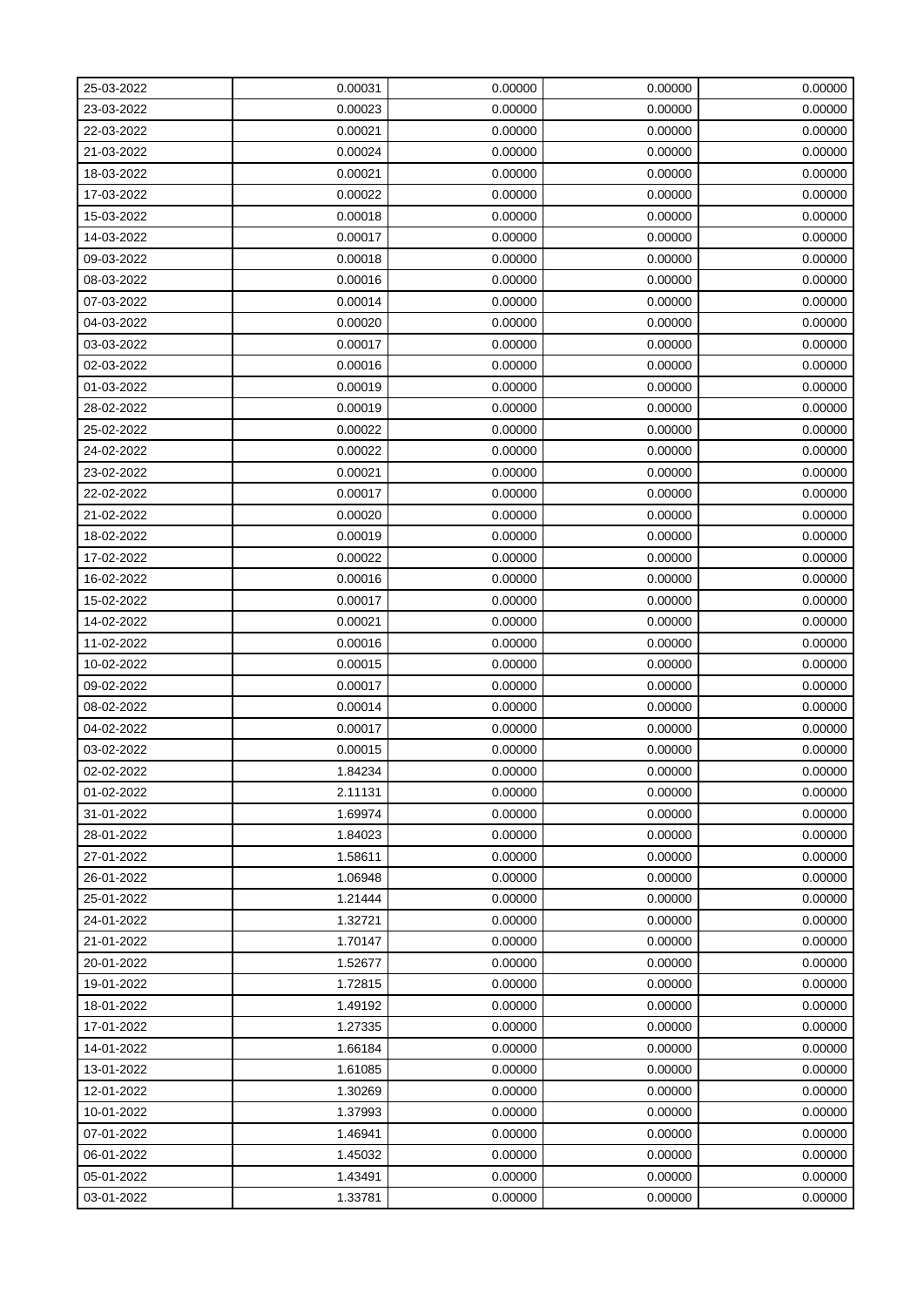| 25-03-2022 | 0.00031 | 0.00000 | 0.00000 | 0.00000 |
|------------|---------|---------|---------|---------|
| 23-03-2022 | 0.00023 | 0.00000 | 0.00000 | 0.00000 |
| 22-03-2022 | 0.00021 | 0.00000 | 0.00000 | 0.00000 |
| 21-03-2022 | 0.00024 | 0.00000 | 0.00000 | 0.00000 |
| 18-03-2022 | 0.00021 | 0.00000 | 0.00000 | 0.00000 |
| 17-03-2022 | 0.00022 | 0.00000 | 0.00000 | 0.00000 |
| 15-03-2022 | 0.00018 | 0.00000 | 0.00000 | 0.00000 |
| 14-03-2022 | 0.00017 | 0.00000 | 0.00000 | 0.00000 |
| 09-03-2022 | 0.00018 | 0.00000 | 0.00000 | 0.00000 |
| 08-03-2022 | 0.00016 | 0.00000 | 0.00000 | 0.00000 |
| 07-03-2022 | 0.00014 | 0.00000 | 0.00000 | 0.00000 |
| 04-03-2022 | 0.00020 | 0.00000 | 0.00000 | 0.00000 |
| 03-03-2022 | 0.00017 | 0.00000 | 0.00000 | 0.00000 |
| 02-03-2022 | 0.00016 | 0.00000 | 0.00000 | 0.00000 |
| 01-03-2022 | 0.00019 | 0.00000 | 0.00000 | 0.00000 |
| 28-02-2022 | 0.00019 | 0.00000 | 0.00000 | 0.00000 |
| 25-02-2022 | 0.00022 | 0.00000 | 0.00000 | 0.00000 |
| 24-02-2022 | 0.00022 | 0.00000 | 0.00000 | 0.00000 |
| 23-02-2022 | 0.00021 | 0.00000 | 0.00000 | 0.00000 |
| 22-02-2022 | 0.00017 | 0.00000 | 0.00000 | 0.00000 |
| 21-02-2022 | 0.00020 | 0.00000 | 0.00000 | 0.00000 |
| 18-02-2022 | 0.00019 | 0.00000 | 0.00000 | 0.00000 |
| 17-02-2022 | 0.00022 | 0.00000 | 0.00000 | 0.00000 |
| 16-02-2022 | 0.00016 | 0.00000 | 0.00000 | 0.00000 |
| 15-02-2022 | 0.00017 | 0.00000 | 0.00000 | 0.00000 |
| 14-02-2022 | 0.00021 | 0.00000 | 0.00000 | 0.00000 |
| 11-02-2022 | 0.00016 | 0.00000 | 0.00000 | 0.00000 |
| 10-02-2022 | 0.00015 | 0.00000 | 0.00000 | 0.00000 |
| 09-02-2022 | 0.00017 | 0.00000 | 0.00000 | 0.00000 |
| 08-02-2022 | 0.00014 | 0.00000 | 0.00000 | 0.00000 |
| 04-02-2022 | 0.00017 | 0.00000 | 0.00000 | 0.00000 |
| 03-02-2022 | 0.00015 | 0.00000 | 0.00000 | 0.00000 |
| 02-02-2022 | 1.84234 | 0.00000 | 0.00000 | 0.00000 |
| 01-02-2022 | 2.11131 | 0.00000 | 0.00000 | 0.00000 |
| 31-01-2022 | 1.69974 | 0.00000 | 0.00000 | 0.00000 |
| 28-01-2022 | 1.84023 | 0.00000 | 0.00000 | 0.00000 |
| 27-01-2022 | 1.58611 | 0.00000 | 0.00000 | 0.00000 |
| 26-01-2022 | 1.06948 | 0.00000 | 0.00000 | 0.00000 |
| 25-01-2022 | 1.21444 | 0.00000 | 0.00000 | 0.00000 |
| 24-01-2022 | 1.32721 | 0.00000 | 0.00000 | 0.00000 |
| 21-01-2022 | 1.70147 | 0.00000 | 0.00000 | 0.00000 |
| 20-01-2022 | 1.52677 | 0.00000 | 0.00000 | 0.00000 |
| 19-01-2022 | 1.72815 | 0.00000 | 0.00000 | 0.00000 |
| 18-01-2022 | 1.49192 | 0.00000 | 0.00000 | 0.00000 |
| 17-01-2022 | 1.27335 | 0.00000 | 0.00000 | 0.00000 |
| 14-01-2022 | 1.66184 | 0.00000 | 0.00000 | 0.00000 |
| 13-01-2022 | 1.61085 | 0.00000 | 0.00000 | 0.00000 |
| 12-01-2022 | 1.30269 | 0.00000 | 0.00000 | 0.00000 |
| 10-01-2022 | 1.37993 | 0.00000 | 0.00000 | 0.00000 |
| 07-01-2022 | 1.46941 | 0.00000 | 0.00000 | 0.00000 |
| 06-01-2022 | 1.45032 | 0.00000 | 0.00000 | 0.00000 |
| 05-01-2022 | 1.43491 | 0.00000 | 0.00000 | 0.00000 |
| 03-01-2022 | 1.33781 | 0.00000 | 0.00000 | 0.00000 |